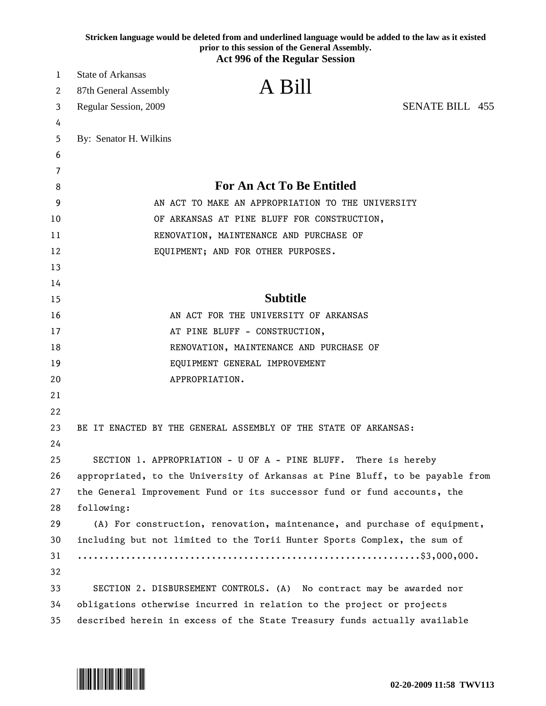|          | Stricken language would be deleted from and underlined language would be added to the law as it existed<br>prior to this session of the General Assembly.<br><b>Act 996 of the Regular Session</b> |
|----------|----------------------------------------------------------------------------------------------------------------------------------------------------------------------------------------------------|
| 1        | <b>State of Arkansas</b>                                                                                                                                                                           |
| 2        | A Bill<br>87th General Assembly                                                                                                                                                                    |
| 3        | <b>SENATE BILL 455</b><br>Regular Session, 2009                                                                                                                                                    |
| 4        |                                                                                                                                                                                                    |
| 5        | By: Senator H. Wilkins                                                                                                                                                                             |
| 6        |                                                                                                                                                                                                    |
| 7        |                                                                                                                                                                                                    |
| 8        | <b>For An Act To Be Entitled</b>                                                                                                                                                                   |
| 9        | AN ACT TO MAKE AN APPROPRIATION TO THE UNIVERSITY                                                                                                                                                  |
| 10       | OF ARKANSAS AT PINE BLUFF FOR CONSTRUCTION,                                                                                                                                                        |
| 11       | RENOVATION, MAINTENANCE AND PURCHASE OF                                                                                                                                                            |
| 12       | EQUIPMENT; AND FOR OTHER PURPOSES.                                                                                                                                                                 |
| 13       |                                                                                                                                                                                                    |
| 14       |                                                                                                                                                                                                    |
| 15       | <b>Subtitle</b>                                                                                                                                                                                    |
| 16       | AN ACT FOR THE UNIVERSITY OF ARKANSAS                                                                                                                                                              |
| 17       | AT PINE BLUFF - CONSTRUCTION,                                                                                                                                                                      |
| 18       | RENOVATION, MAINTENANCE AND PURCHASE OF                                                                                                                                                            |
| 19       | EQUIPMENT GENERAL IMPROVEMENT                                                                                                                                                                      |
| 20       | APPROPRIATION.                                                                                                                                                                                     |
| 21       |                                                                                                                                                                                                    |
| 22       |                                                                                                                                                                                                    |
| 23       | BE IT ENACTED BY THE GENERAL ASSEMBLY OF THE STATE OF ARKANSAS:                                                                                                                                    |
| 24       |                                                                                                                                                                                                    |
| 25       | SECTION 1. APPROPRIATION - U OF A - PINE BLUFF. There is hereby                                                                                                                                    |
| 26       | appropriated, to the University of Arkansas at Pine Bluff, to be payable from                                                                                                                      |
| 27       | the General Improvement Fund or its successor fund or fund accounts, the                                                                                                                           |
| 28       | following:                                                                                                                                                                                         |
| 29       | (A) For construction, renovation, maintenance, and purchase of equipment,                                                                                                                          |
| 30       | including but not limited to the Torii Hunter Sports Complex, the sum of                                                                                                                           |
| 31       |                                                                                                                                                                                                    |
| 32       |                                                                                                                                                                                                    |
| 33       | SECTION 2. DISBURSEMENT CONTROLS. (A) No contract may be awarded nor                                                                                                                               |
| 34<br>35 | obligations otherwise incurred in relation to the project or projects<br>described herein in excess of the State Treasury funds actually available                                                 |

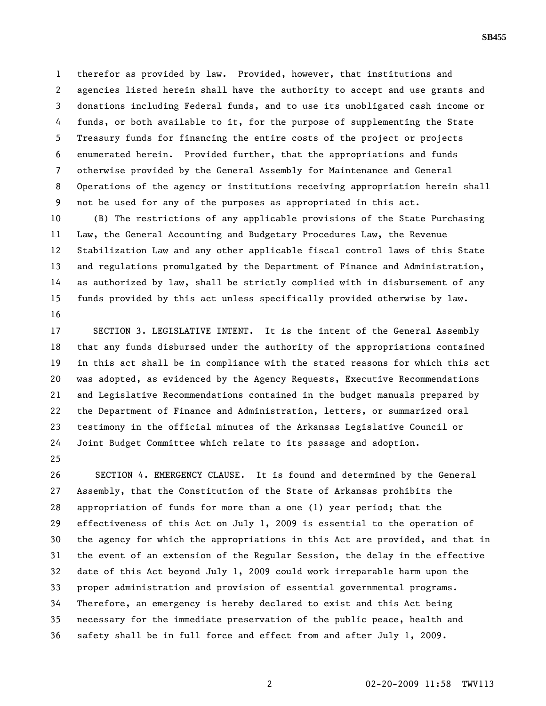1 therefor as provided by law. Provided, however, that institutions and 2 agencies listed herein shall have the authority to accept and use grants and 3 donations including Federal funds, and to use its unobligated cash income or 4 funds, or both available to it, for the purpose of supplementing the State 5 Treasury funds for financing the entire costs of the project or projects 6 enumerated herein. Provided further, that the appropriations and funds 7 otherwise provided by the General Assembly for Maintenance and General 8 Operations of the agency or institutions receiving appropriation herein shall 9 not be used for any of the purposes as appropriated in this act.

10 (B) The restrictions of any applicable provisions of the State Purchasing 11 Law, the General Accounting and Budgetary Procedures Law, the Revenue 12 Stabilization Law and any other applicable fiscal control laws of this State 13 and regulations promulgated by the Department of Finance and Administration, 14 as authorized by law, shall be strictly complied with in disbursement of any 15 funds provided by this act unless specifically provided otherwise by law. 16

17 SECTION 3. LEGISLATIVE INTENT. It is the intent of the General Assembly 18 that any funds disbursed under the authority of the appropriations contained 19 in this act shall be in compliance with the stated reasons for which this act 20 was adopted, as evidenced by the Agency Requests, Executive Recommendations 21 and Legislative Recommendations contained in the budget manuals prepared by 22 the Department of Finance and Administration, letters, or summarized oral 23 testimony in the official minutes of the Arkansas Legislative Council or 24 Joint Budget Committee which relate to its passage and adoption.

25

26 SECTION 4. EMERGENCY CLAUSE. It is found and determined by the General 27 Assembly, that the Constitution of the State of Arkansas prohibits the 28 appropriation of funds for more than a one (1) year period; that the 29 effectiveness of this Act on July 1, 2009 is essential to the operation of 30 the agency for which the appropriations in this Act are provided, and that in 31 the event of an extension of the Regular Session, the delay in the effective 32 date of this Act beyond July 1, 2009 could work irreparable harm upon the 33 proper administration and provision of essential governmental programs. 34 Therefore, an emergency is hereby declared to exist and this Act being 35 necessary for the immediate preservation of the public peace, health and 36 safety shall be in full force and effect from and after July 1, 2009.

## **SB455**